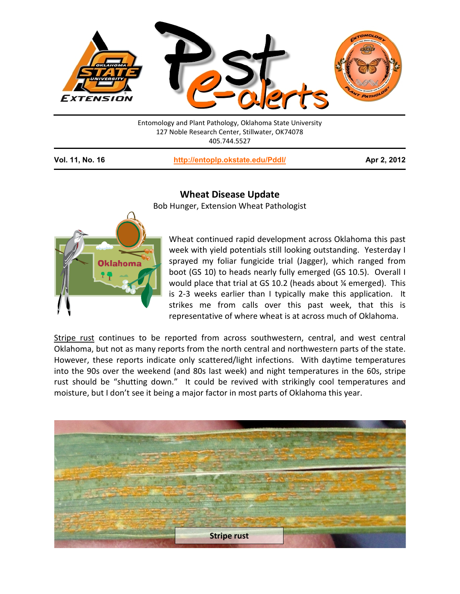

Entomology and Plant Pathology, Oklahoma State University 127 Noble Research Center, Stillwater, OK74078 405.744.5527

**Vol. 11, No. 16 <http://entoplp.okstate.edu/Pddl/> Apr 2, 2012**



## **Wheat Disease Update**

Bob Hunger, Extension Wheat Pathologist

Wheat continued rapid development across Oklahoma this past week with yield potentials still looking outstanding. Yesterday I sprayed my foliar fungicide trial (Jagger), which ranged from boot (GS 10) to heads nearly fully emerged (GS 10.5). Overall I would place that trial at GS 10.2 (heads about ¼ emerged). This is 2-3 weeks earlier than I typically make this application. It strikes me from calls over this past week, that this is representative of where wheat is at across much of Oklahoma.

Stripe rust continues to be reported from across southwestern, central, and west central Oklahoma, but not as many reports from the north central and northwestern parts of the state. However, these reports indicate only scattered/light infections. With daytime temperatures into the 90s over the weekend (and 80s last week) and night temperatures in the 60s, stripe rust should be "shutting down." It could be revived with strikingly cool temperatures and moisture, but I don't see it being a major factor in most parts of Oklahoma this year.

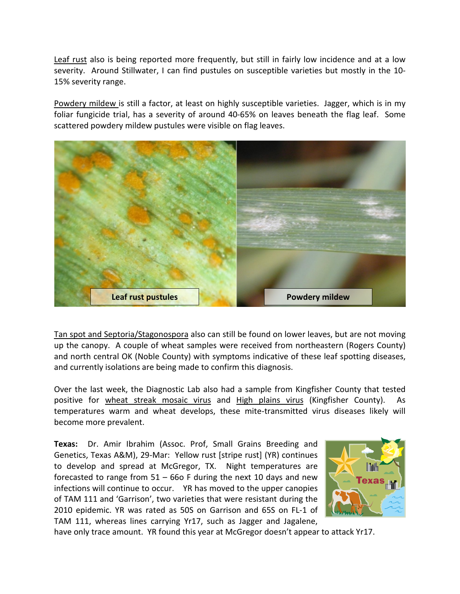Leaf rust also is being reported more frequently, but still in fairly low incidence and at a low severity. Around Stillwater, I can find pustules on susceptible varieties but mostly in the 10- 15% severity range.

Powdery mildew is still a factor, at least on highly susceptible varieties. Jagger, which is in my foliar fungicide trial, has a severity of around 40-65% on leaves beneath the flag leaf. Some scattered powdery mildew pustules were visible on flag leaves.



Tan spot and Septoria/Stagonospora also can still be found on lower leaves, but are not moving up the canopy. A couple of wheat samples were received from northeastern (Rogers County) and north central OK (Noble County) with symptoms indicative of these leaf spotting diseases, and currently isolations are being made to confirm this diagnosis.

Over the last week, the Diagnostic Lab also had a sample from Kingfisher County that tested positive for wheat streak mosaic virus and High plains virus (Kingfisher County). As temperatures warm and wheat develops, these mite-transmitted virus diseases likely will become more prevalent.

**Texas:** Dr. Amir Ibrahim (Assoc. Prof, Small Grains Breeding and Genetics, Texas A&M), 29-Mar: Yellow rust [stripe rust] (YR) continues to develop and spread at McGregor, TX. Night temperatures are forecasted to range from  $51 - 66$  F during the next 10 days and new infections will continue to occur. YR has moved to the upper canopies of TAM 111 and 'Garrison', two varieties that were resistant during the 2010 epidemic. YR was rated as 50S on Garrison and 65S on FL-1 of TAM 111, whereas lines carrying Yr17, such as Jagger and Jagalene,



have only trace amount. YR found this year at McGregor doesn't appear to attack Yr17.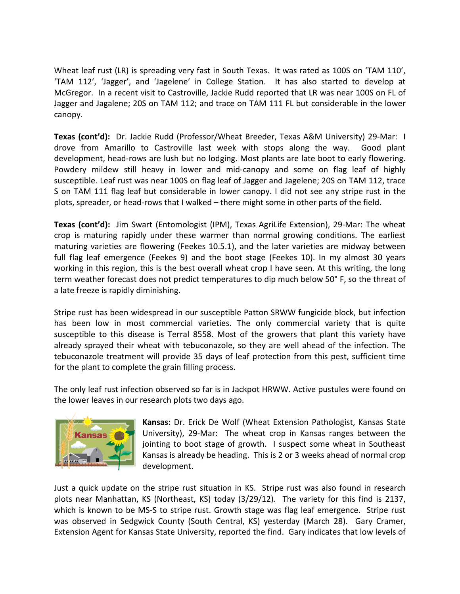Wheat leaf rust (LR) is spreading very fast in South Texas. It was rated as 100S on 'TAM 110', 'TAM 112', 'Jagger', and 'Jagelene' in College Station. It has also started to develop at McGregor. In a recent visit to Castroville, Jackie Rudd reported that LR was near 100S on FL of Jagger and Jagalene; 20S on TAM 112; and trace on TAM 111 FL but considerable in the lower canopy.

**Texas (cont'd):** Dr. Jackie Rudd (Professor/Wheat Breeder, Texas A&M University) 29-Mar: I drove from Amarillo to Castroville last week with stops along the way. Good plant development, head-rows are lush but no lodging. Most plants are late boot to early flowering. Powdery mildew still heavy in lower and mid-canopy and some on flag leaf of highly susceptible. Leaf rust was near 100S on flag leaf of Jagger and Jagelene; 20S on TAM 112, trace S on TAM 111 flag leaf but considerable in lower canopy. I did not see any stripe rust in the plots, spreader, or head-rows that I walked – there might some in other parts of the field.

**Texas (cont'd):** Jim Swart (Entomologist (IPM), Texas AgriLife Extension), 29-Mar: The wheat crop is maturing rapidly under these warmer than normal growing conditions. The earliest maturing varieties are flowering (Feekes 10.5.1), and the later varieties are midway between full flag leaf emergence (Feekes 9) and the boot stage (Feekes 10). In my almost 30 years working in this region, this is the best overall wheat crop I have seen. At this writing, the long term weather forecast does not predict temperatures to dip much below 50° F, so the threat of a late freeze is rapidly diminishing.

Stripe rust has been widespread in our susceptible Patton SRWW fungicide block, but infection has been low in most commercial varieties. The only commercial variety that is quite susceptible to this disease is Terral 8558. Most of the growers that plant this variety have already sprayed their wheat with tebuconazole, so they are well ahead of the infection. The tebuconazole treatment will provide 35 days of leaf protection from this pest, sufficient time for the plant to complete the grain filling process.

The only leaf rust infection observed so far is in Jackpot HRWW. Active pustules were found on the lower leaves in our research plots two days ago.



**Kansas:** Dr. Erick De Wolf (Wheat Extension Pathologist, Kansas State University), 29-Mar: The wheat crop in Kansas ranges between the jointing to boot stage of growth. I suspect some wheat in Southeast Kansas is already be heading. This is 2 or 3 weeks ahead of normal crop development.

Just a quick update on the stripe rust situation in KS. Stripe rust was also found in research plots near Manhattan, KS (Northeast, KS) today (3/29/12). The variety for this find is 2137, which is known to be MS-S to stripe rust. Growth stage was flag leaf emergence. Stripe rust was observed in Sedgwick County (South Central, KS) yesterday (March 28). Gary Cramer, Extension Agent for Kansas State University, reported the find. Gary indicates that low levels of